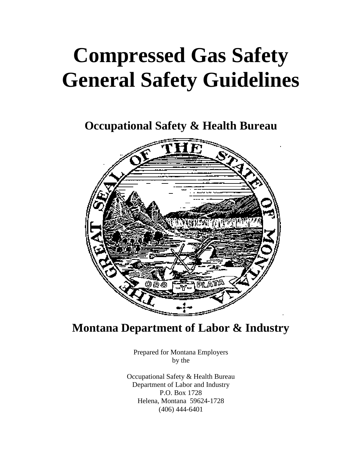# **Compressed Gas Safety General Safety Guidelines**

**Occupational Safety & Health Bureau**



**Montana Department of Labor & Industry**

Prepared for Montana Employers by the

Occupational Safety & Health Bureau Department of Labor and Industry P.O. Box 1728 Helena, Montana 59624-1728 (406) 444-6401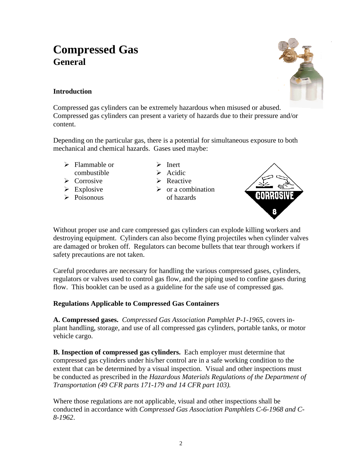# **Compressed Gas General**



# **Introduction**

Compressed gas cylinders can be extremely hazardous when misused or abused. Compressed gas cylinders can present a variety of hazards due to their pressure and/or content.

Depending on the particular gas, there is a potential for simultaneous exposure to both mechanical and chemical hazards. Gases used maybe:

- $\triangleright$  Flammable or combustible
- $\triangleright$  Corrosive
- $\triangleright$  Explosive
- $\triangleright$  Poisonous
- $\triangleright$  Inert
- $\triangleright$  Acidic > Reactive
- $\triangleright$  or a combination
	- of hazards



Without proper use and care compressed gas cylinders can explode killing workers and destroying equipment. Cylinders can also become flying projectiles when cylinder valves are damaged or broken off. Regulators can become bullets that tear through workers if safety precautions are not taken.

Careful procedures are necessary for handling the various compressed gases, cylinders, regulators or valves used to control gas flow, and the piping used to confine gases during flow. This booklet can be used as a guideline for the safe use of compressed gas.

# **Regulations Applicable to Compressed Gas Containers**

**A. Compressed gases.** *Compressed Gas Association Pamphlet P-1-1965*, covers inplant handling, storage, and use of all compressed gas cylinders, portable tanks, or motor vehicle cargo.

**B. Inspection of compressed gas cylinders.** Each employer must determine that compressed gas cylinders under his/her control are in a safe working condition to the extent that can be determined by a visual inspection. Visual and other inspections must be conducted as prescribed in the *Hazardous Materials Regulations of the Department of Transportation (49 CFR parts 171-179 and 14 CFR part 103).*

Where those regulations are not applicable, visual and other inspections shall be conducted in accordance with *Compressed Gas Association Pamphlets C-6-1968 and C-8-1962*.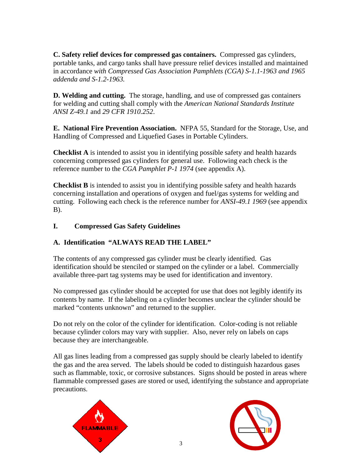**C. Safety relief devices for compressed gas containers.** Compressed gas cylinders, portable tanks, and cargo tanks shall have pressure relief devices installed and maintained in accordance *with Compressed Gas Association Pamphlets (CGA) S-1.1-1963 and 1965 addenda and S-1.2-1963.*

**D. Welding and cutting.** The storage, handling, and use of compressed gas containers for welding and cutting shall comply with the *American National Standards Institute ANSI Z-49.1* and *29 CFR 1910.252*.

**E. National Fire Prevention Association.** NFPA 55, Standard for the Storage, Use, and Handling of Compressed and Liquefied Gases in Portable Cylinders.

**Checklist A** is intended to assist you in identifying possible safety and health hazards concerning compressed gas cylinders for general use. Following each check is the reference number to the *CGA Pamphlet P-1 1974* (see appendix A).

**Checklist B** is intended to assist you in identifying possible safety and health hazards concerning installation and operations of oxygen and fuel/gas systems for welding and cutting. Following each check is the reference number for *ANSI-49.1 1969* (see appendix B).

## **I. Compressed Gas Safety Guidelines**

# **A. Identification "ALWAYS READ THE LABEL"**

The contents of any compressed gas cylinder must be clearly identified. Gas identification should be stenciled or stamped on the cylinder or a label. Commercially available three-part tag systems may be used for identification and inventory.

No compressed gas cylinder should be accepted for use that does not legibly identify its contents by name. If the labeling on a cylinder becomes unclear the cylinder should be marked "contents unknown" and returned to the supplier.

Do not rely on the color of the cylinder for identification. Color-coding is not reliable because cylinder colors may vary with supplier. Also, never rely on labels on caps because they are interchangeable.

All gas lines leading from a compressed gas supply should be clearly labeled to identify the gas and the area served. The labels should be coded to distinguish hazardous gases such as flammable, toxic, or corrosive substances. Signs should be posted in areas where flammable compressed gases are stored or used, identifying the substance and appropriate precautions.



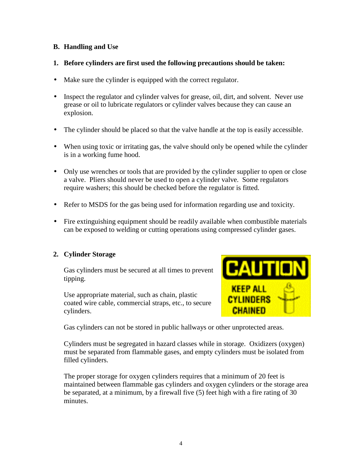#### **B. Handling and Use**

#### **1. Before cylinders are first used the following precautions should be taken:**

- Make sure the cylinder is equipped with the correct regulator.
- Inspect the regulator and cylinder valves for grease, oil, dirt, and solvent. Never use grease or oil to lubricate regulators or cylinder valves because they can cause an explosion.
- The cylinder should be placed so that the valve handle at the top is easily accessible.
- When using toxic or irritating gas, the valve should only be opened while the cylinder is in a working fume hood.
- Only use wrenches or tools that are provided by the cylinder supplier to open or close a valve. Pliers should never be used to open a cylinder valve. Some regulators require washers; this should be checked before the regulator is fitted.
- Refer to MSDS for the gas being used for information regarding use and toxicity.
- Fire extinguishing equipment should be readily available when combustible materials can be exposed to welding or cutting operations using compressed cylinder gases.

#### **2. Cylinder Storage**

Gas cylinders must be secured at all times to prevent tipping.

Use appropriate material, such as chain, plastic coated wire cable, commercial straps, etc., to secure cylinders.



Gas cylinders can not be stored in public hallways or other unprotected areas.

Cylinders must be segregated in hazard classes while in storage. Oxidizers (oxygen) must be separated from flammable gases, and empty cylinders must be isolated from filled cylinders.

The proper storage for oxygen cylinders requires that a minimum of 20 feet is maintained between flammable gas cylinders and oxygen cylinders or the storage area be separated, at a minimum, by a firewall five (5) feet high with a fire rating of 30 minutes.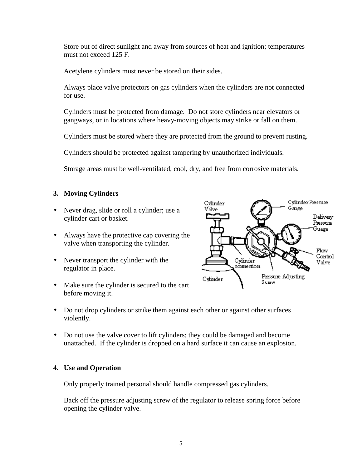Store out of direct sunlight and away from sources of heat and ignition; temperatures must not exceed 125 F.

Acetylene cylinders must never be stored on their sides.

Always place valve protectors on gas cylinders when the cylinders are not connected for use.

Cylinders must be protected from damage. Do not store cylinders near elevators or gangways, or in locations where heavy-moving objects may strike or fall on them.

Cylinders must be stored where they are protected from the ground to prevent rusting.

Cylinders should be protected against tampering by unauthorized individuals.

Storage areas must be well-ventilated, cool, dry, and free from corrosive materials.

#### **3. Moving Cylinders**

- Never drag, slide or roll a cylinder; use a cylinder cart or basket.
- Always have the protective cap covering the valve when transporting the cylinder.
- Never transport the cylinder with the regulator in place.
- Make sure the cylinder is secured to the cart before moving it.



- Do not drop cylinders or strike them against each other or against other surfaces violently.
- Do not use the valve cover to lift cylinders; they could be damaged and become unattached. If the cylinder is dropped on a hard surface it can cause an explosion.

#### **4. Use and Operation**

Only properly trained personal should handle compressed gas cylinders.

Back off the pressure adjusting screw of the regulator to release spring force before opening the cylinder valve.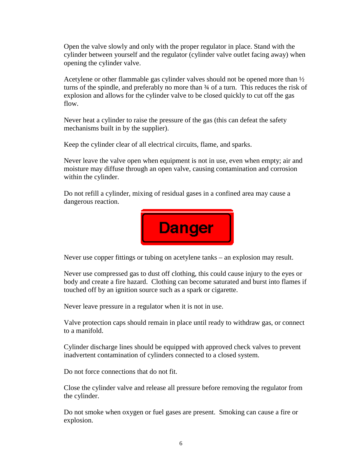Open the valve slowly and only with the proper regulator in place. Stand with the cylinder between yourself and the regulator (cylinder valve outlet facing away) when opening the cylinder valve.

Acetylene or other flammable gas cylinder valves should not be opened more than  $\frac{1}{2}$ turns of the spindle, and preferably no more than ¾ of a turn. This reduces the risk of explosion and allows for the cylinder valve to be closed quickly to cut off the gas flow.

Never heat a cylinder to raise the pressure of the gas (this can defeat the safety mechanisms built in by the supplier).

Keep the cylinder clear of all electrical circuits, flame, and sparks.

Never leave the valve open when equipment is not in use, even when empty; air and moisture may diffuse through an open valve, causing contamination and corrosion within the cylinder.

Do not refill a cylinder, mixing of residual gases in a confined area may cause a dangerous reaction.



Never use copper fittings or tubing on acetylene tanks – an explosion may result.

Never use compressed gas to dust off clothing, this could cause injury to the eyes or body and create a fire hazard. Clothing can become saturated and burst into flames if touched off by an ignition source such as a spark or cigarette.

Never leave pressure in a regulator when it is not in use.

Valve protection caps should remain in place until ready to withdraw gas, or connect to a manifold.

Cylinder discharge lines should be equipped with approved check valves to prevent inadvertent contamination of cylinders connected to a closed system.

Do not force connections that do not fit.

Close the cylinder valve and release all pressure before removing the regulator from the cylinder.

Do not smoke when oxygen or fuel gases are present. Smoking can cause a fire or explosion.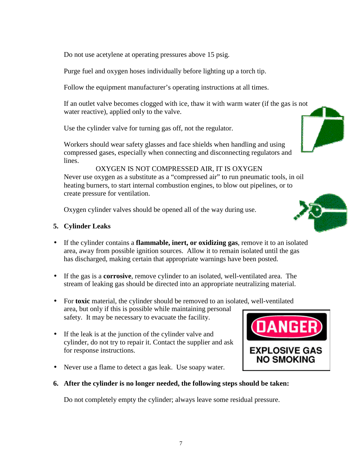Do not use acetylene at operating pressures above 15 psig.

Purge fuel and oxygen hoses individually before lighting up a torch tip.

Follow the equipment manufacturer's operating instructions at all times.

If an outlet valve becomes clogged with ice, thaw it with warm water (if the gas is not water reactive), applied only to the valve.

Use the cylinder valve for turning gas off, not the regulator.

Workers should wear safety glasses and face shields when handling and using compressed gases, especially when connecting and disconnecting regulators and lines.

OXYGEN IS NOT COMPRESSED AIR, IT IS OXYGEN Never use oxygen as a substitute as a "compressed air" to run pneumatic tools, in oil heating burners, to start internal combustion engines, to blow out pipelines, or to create pressure for ventilation.

Oxygen cylinder valves should be opened all of the way during use.

## **5. Cylinder Leaks**

- If the cylinder contains a **flammable, inert, or oxidizing gas**, remove it to an isolated area, away from possible ignition sources. Allow it to remain isolated until the gas has discharged, making certain that appropriate warnings have been posted.
- If the gas is a **corrosive**, remove cylinder to an isolated, well-ventilated area. The stream of leaking gas should be directed into an appropriate neutralizing material.
- For **toxic** material, the cylinder should be removed to an isolated, well-ventilated area, but only if this is possible while maintaining personal safety. It may be necessary to evacuate the facility.
- If the leak is at the junction of the cylinder valve and cylinder, do not try to repair it. Contact the supplier and ask for response instructions.
- Never use a flame to detect a gas leak. Use soapy water.
- **6. After the cylinder is no longer needed, the following steps should be taken:**

Do not completely empty the cylinder; always leave some residual pressure.







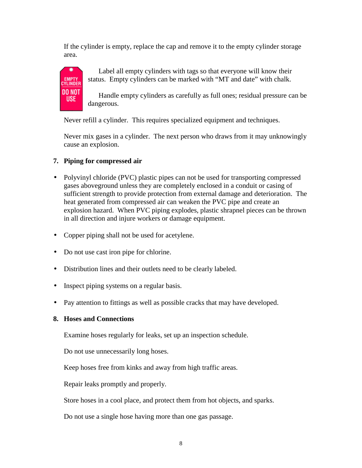If the cylinder is empty, replace the cap and remove it to the empty cylinder storage area.



Label all empty cylinders with tags so that everyone will know their status. Empty cylinders can be marked with "MT and date" with chalk.

Handle empty cylinders as carefully as full ones; residual pressure can be dangerous.

Never refill a cylinder. This requires specialized equipment and techniques.

Never mix gases in a cylinder. The next person who draws from it may unknowingly cause an explosion.

# **7. Piping for compressed air**

- Polyvinyl chloride (PVC) plastic pipes can not be used for transporting compressed gases aboveground unless they are completely enclosed in a conduit or casing of sufficient strength to provide protection from external damage and deterioration. The heat generated from compressed air can weaken the PVC pipe and create an explosion hazard. When PVC piping explodes, plastic shrapnel pieces can be thrown in all direction and injure workers or damage equipment.
- Copper piping shall not be used for acetylene.
- Do not use cast iron pipe for chlorine.
- Distribution lines and their outlets need to be clearly labeled.
- Inspect piping systems on a regular basis.
- Pay attention to fittings as well as possible cracks that may have developed.

#### **8. Hoses and Connections**

Examine hoses regularly for leaks, set up an inspection schedule.

Do not use unnecessarily long hoses.

Keep hoses free from kinks and away from high traffic areas.

Repair leaks promptly and properly.

Store hoses in a cool place, and protect them from hot objects, and sparks.

Do not use a single hose having more than one gas passage.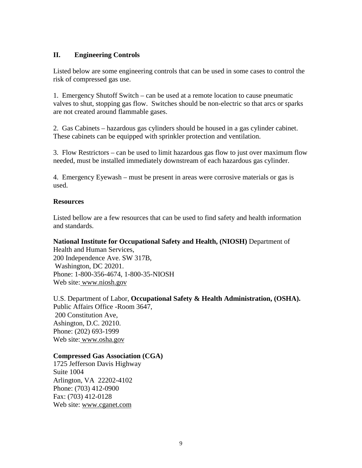#### **II. Engineering Controls**

Listed below are some engineering controls that can be used in some cases to control the risk of compressed gas use.

1. Emergency Shutoff Switch – can be used at a remote location to cause pneumatic valves to shut, stopping gas flow. Switches should be non-electric so that arcs or sparks are not created around flammable gases.

2. Gas Cabinets – hazardous gas cylinders should be housed in a gas cylinder cabinet. These cabinets can be equipped with sprinkler protection and ventilation.

3. Flow Restrictors – can be used to limit hazardous gas flow to just over maximum flow needed, must be installed immediately downstream of each hazardous gas cylinder.

4. Emergency Eyewash – must be present in areas were corrosive materials or gas is used.

#### **Resources**

Listed bellow are a few resources that can be used to find safety and health information and standards.

**National Institute for Occupational Safety and Health, (NIOSH)** Department of

Health and Human Services, 200 Independence Ave. SW 317B, Washington, DC 20201. Phone: 1-800-356-4674, 1-800-35-NIOSH Web site: www.niosh.gov

U.S. Department of Labor, **Occupational Safety & Health Administration, (OSHA).** Public Affairs Office -Room 3647, 200 Constitution Ave, Ashington, D.C. 20210. Phone: (202) 693-1999 Web site: www.osha.gov

#### **Compressed Gas Association (CGA)**

1725 Jefferson Davis Highway Suite 1004 Arlington, VA 22202-4102 Phone: (703) 412-0900 Fax: (703) 412-0128 Web site: www.cganet.com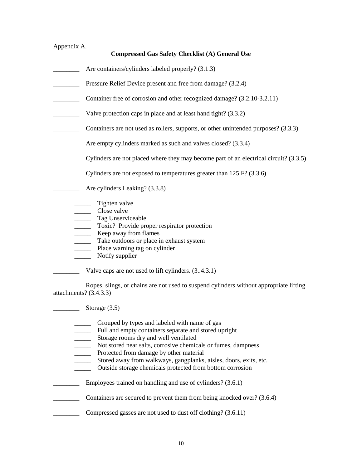# Appendix A.

#### **Compressed Gas Safety Checklist (A) General Use**

- Are containers/cylinders labeled properly? (3.1.3)
- **EXECUTE:** Pressure Relief Device present and free from damage? (3.2.4)
- \_\_\_\_\_\_\_\_ Container free of corrosion and other recognized damage? (3.2.10-3.2.11)
- \_\_\_\_\_\_\_\_ Valve protection caps in place and at least hand tight? (3.3.2)
- \_\_\_\_\_\_\_\_ Containers are not used as rollers, supports, or other unintended purposes? (3.3.3)
- **EXECUTE:** Are empty cylinders marked as such and valves closed? (3.3.4)
- \_\_\_\_\_\_\_\_ Cylinders are not placed where they may become part of an electrical circuit? (3.3.5)
- $\Box$  Cylinders are not exposed to temperatures greater than 125 F? (3.3.6)
- **Example 2.1** Are cylinders Leaking? (3.3.8)
	- \_\_\_\_\_\_\_ Tighten valve
	- \_\_\_\_\_ Close valve
	- \_\_\_\_\_ Tag Unserviceable
	- \_\_\_\_\_ Toxic? Provide proper respirator protection
	- **EXECTED** Keep away from flames
	- \_\_\_\_\_ Take outdoors or place in exhaust system
	- \_\_\_\_\_ Place warning tag on cylinder
	- \_\_\_\_\_ Notify supplier
	- Valve caps are not used to lift cylinders.  $(3.4.3.1)$

\_\_\_\_\_\_\_\_ Ropes, slings, or chains are not used to suspend cylinders without appropriate lifting attachments? (3.4.3.3)

 $\frac{\text{Storage (3.5)}}{}$ 

- Grouped by types and labeled with name of gas
- \_\_\_\_\_ Full and empty containers separate and stored upright
- **EXECUTE:** Storage rooms dry and well ventilated
- \_\_\_\_\_ Not stored near salts, corrosive chemicals or fumes, dampness
- \_\_\_\_\_ Protected from damage by other material
	- \_\_\_\_\_ Stored away from walkways, gangplanks, aisles, doors, exits, etc.
	- \_\_\_\_\_ Outside storage chemicals protected from bottom corrosion
- **Employees trained on handling and use of cylinders?** (3.6.1)
- \_\_\_\_\_\_\_\_ Containers are secured to prevent them from being knocked over? (3.6.4)
- **EXECUTE:** Compressed gasses are not used to dust off clothing? (3.6.11)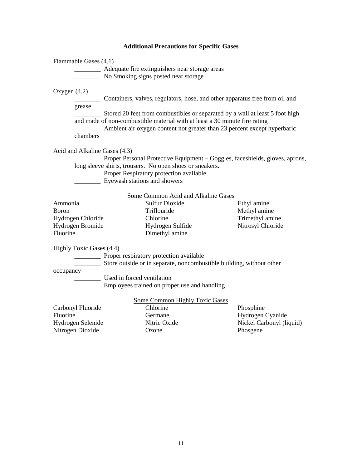# **Additional Precautions for Specific Gases**

| Flammable Gases (4.1)                                                  | No Smoking signs posted near storage                                                                                                                                                                                                  |                                                                       |
|------------------------------------------------------------------------|---------------------------------------------------------------------------------------------------------------------------------------------------------------------------------------------------------------------------------------|-----------------------------------------------------------------------|
| Oxygen $(4.2)$<br>grease<br>chambers                                   | Containers, valves, regulators, hose, and other apparatus free from oil and<br>and made of non-combustible material with at least a 30 minute fire rating<br>Ambient air oxygen content not greater than 23 percent except hyperbaric |                                                                       |
| Acid and Alkaline Gases (4.3)                                          | <b>EXECUTE:</b> Proper Personal Protective Equipment – Goggles, faceshields, gloves, aprons,<br>long sleeve shirts, trousers. No open shoes or sneakers.<br>Proper Respiratory protection available<br>Eyewash stations and showers   |                                                                       |
| Ammonia<br>Boron<br>Hydrogen Chloride<br>Hydrogen Bromide<br>Fluorine  | Some Common Acid and Alkaline Gases<br><b>Sulfur Dioxide</b><br>Triflouride<br>Chlorine<br>Hydrogen Sulfide<br>Dimethyl amine                                                                                                         | Ethyl amine<br>Methyl amine<br>Trimethyl amine<br>Nitrosyl Chloride   |
| Highly Toxic Gases (4.4)<br>occupancy                                  | Proper respiratory protection available<br>______________ Store outside or in separate, noncombustible building, without other<br>Used in forced ventilation<br>Employees trained on proper use and handling                          |                                                                       |
| Carbonyl Fluoride<br>Fluorine<br>Hydrogen Selenide<br>Nitrogen Dioxide | <b>Some Common Highly Toxic Gases</b><br>Chlorine<br>Germane<br>Nitric Oxide<br>Ozone                                                                                                                                                 | Phosphine<br>Hydrogen Cyanide<br>Nickel Carbonyl (liquid)<br>Phosgene |